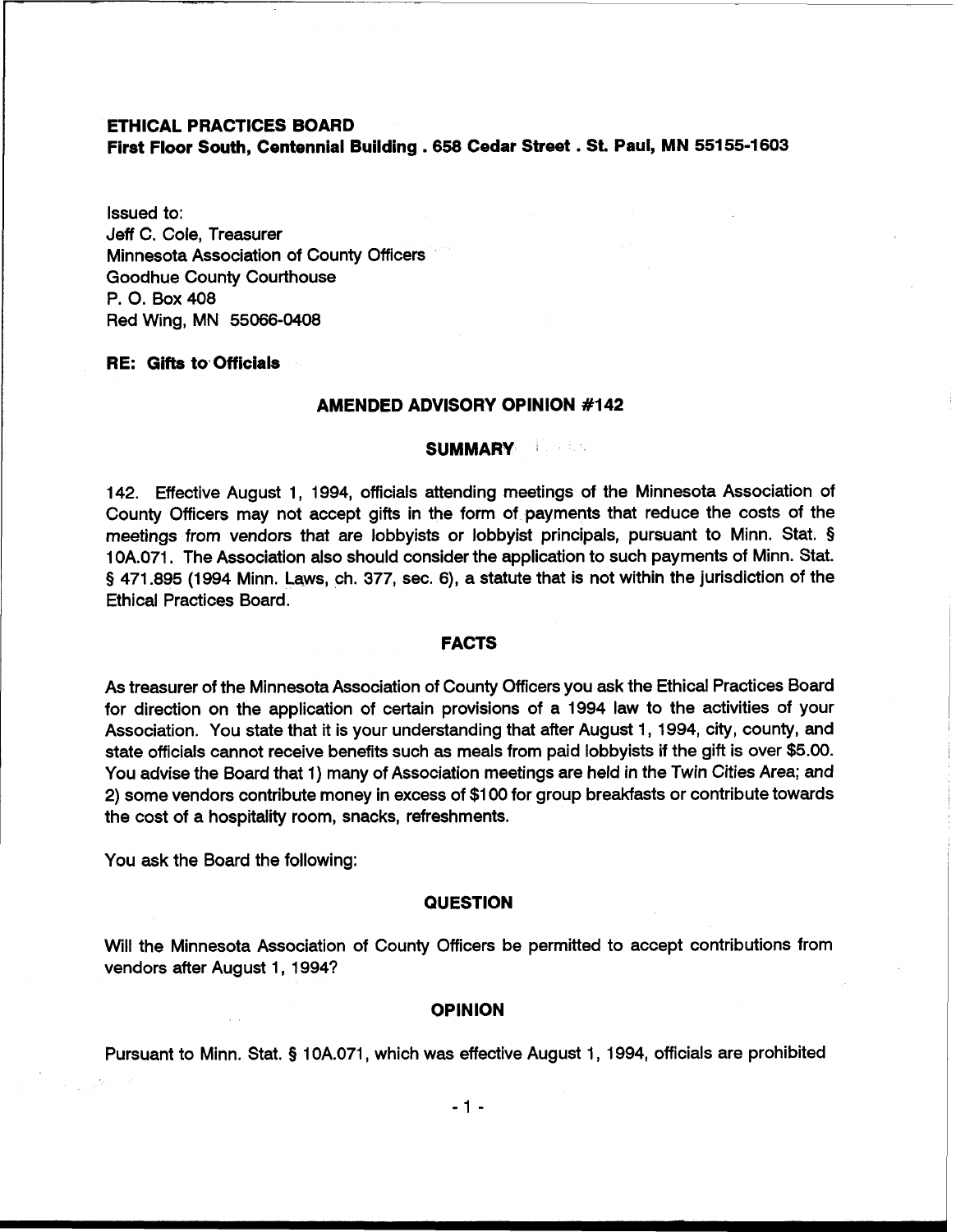# **ETHICAL PRACTICES BOARD First Floor South, Centennial Building** . **658 Cedar Street** . **St. Paul, MN 551 55-1603**

Issued to: Jeff C. Cole, Treasurer Minnesota Association of County Officers Goodhue County Courthouse P. 0. Box 408 Red Wing, MN 55066-0408

# **RE: Gifts to. Officials**

### **AMENDED ADVISORY OPINION #I42**

#### **SUMMARY**

142. Effective August 1, 1994, officials attending meetings of the Minnesota Association of County Officers may not accept gifts in the form of payments that reduce the costs of the meetings from vendors that are lobbyists or lobbyist principals, pursuant to Minn. Stat. § 1 OA.071. The Association also should consider the application to such payments of Minn. Stat. **9** 471.895 (1994 Minn. Laws, ch. 377, sec. **6),** a statute that is not within the jurisdiction of the Ethical Practices Board.

### **FACTS**

As treasurer of the Minnesota Association of County Officers you ask the Ethical Practices Board for direction on the application of certain provisions of a 1994 law to the activities of your Association. You state that it is your understanding that after August 1, 1994, city, county, and state officials cannot receive benefits such as meals from paid lobbyists if the gift is over \$5.00. You advise the Board that 1) many of Association meetings are held in the Twin Cities Area; and 2) some vendors contribute money in excess of \$1 00 for group breakfasts or contribute towards the cost of a hospitality room, snacks, refreshments.

You ask the Board the following:

#### **QUESTION**

Will the Minnesota Association of County Officers be permitted to accept contributions from vendors after August 1, 1994?

#### **OPINION**

Pursuant to Minn. Stat. **5** 10A.071, which was effective August 1, 1994, officials are prohibited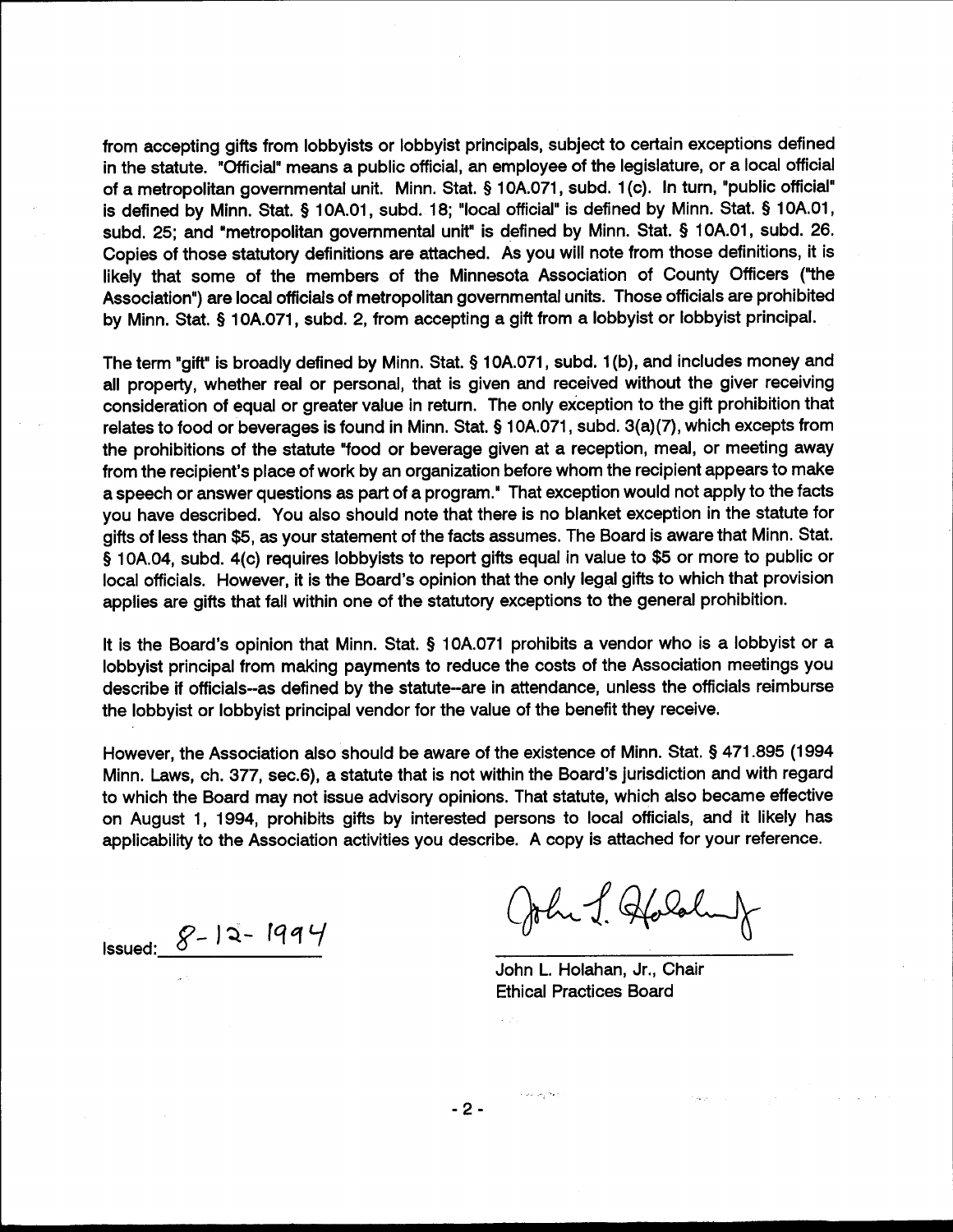from accepting gifts from lobbyists or lobbyist principals, subject to certain exceptions defined in the statute. "Official" means a public official, an employee of the legislature, or a local official of a metropolitan governmental unit. Minn. Stat. § 10A.071, subd. 1(c). In turn, "public official" is defined by Minn. Stat. § 10A.01, subd. 18; "local official" is defined by Minn. Stat. § 10A.01, subd. 25; and "metropolitan governmental unit" is defined by Minn. Stat. § 10A.01, subd. 26. Copies of those statutory definitions are attached. As you will note from those definitions, it is likely that some of the members of the Minnesota Association of County Officers ("the Association") are local officials of metropolitan governmental units. Those officials are prohibited by Minn. Stat. § 10A.071, subd. 2, from accepting a gift from a lobbyist or lobbyist principal.

The term "gift" is broadly defined by Minn. Stat. § 10A.071, subd. 1(b), and includes money and all property, whether real or personal, that is given and received without the giver receiving consideration of equal or greater value in return. The only exception to the gift prohibition that relates to food or beverages is found in Minn. Stat. § 10A.071, subd. 3(a)(7), which excepts from the prohibitions of the statute "food or beverage given at a reception, meal, or meeting away from the recipient's place of work by an organization before whom the recipient appears to make a speech or answer questions as part of a program." That exception would not apply to the facts you have described. You also should note that there is no blanket exception in the statute for gifts of less than \$5, as your statement of the facts assumes. The Board is aware that Minn. Stat. § 10A.04, subd. 4(c) requires lobbyists to report gifts equal in value to \$5 or more to public or local officials. However, it is the Board's opinion that the only legal gifts to which that provision applies are gifts that fall within one of the statutory exceptions to the general prohibition.

It is the Board's opinion that Minn. Stat. § 10A.071 prohibits a vendor who is a lobbyist or a lobbyist principal from making payments to reduce the costs of the Association meetings you describe if officials--as defined by the statute--are in attendance, unless the officials reimburse the lobbyist or lobbyist principal vendor for the value of the benefit they receive.

However, the Association also should be aware of the existence of Minn. Stat. § 471.895 (1994 Minn. Laws, ch. 377, sec.6), a statute that is not within the Board's jurisdiction and with regard to which the Board may not issue advisory opinions. That statute, which also became effective on August 1, 1994, prohibits gifts by interested persons to local officials, and it likely has applicability to the Association activities you describe. A copy is attached for your reference.

Issued:  $8 - 12 - 1994$ 

John J. Hololand

John L. Holahan, Jr., Chair **Ethical Practices Board** 

 $-2-$ 

 $\sim 10^{11}$  and  $^{10}$  ext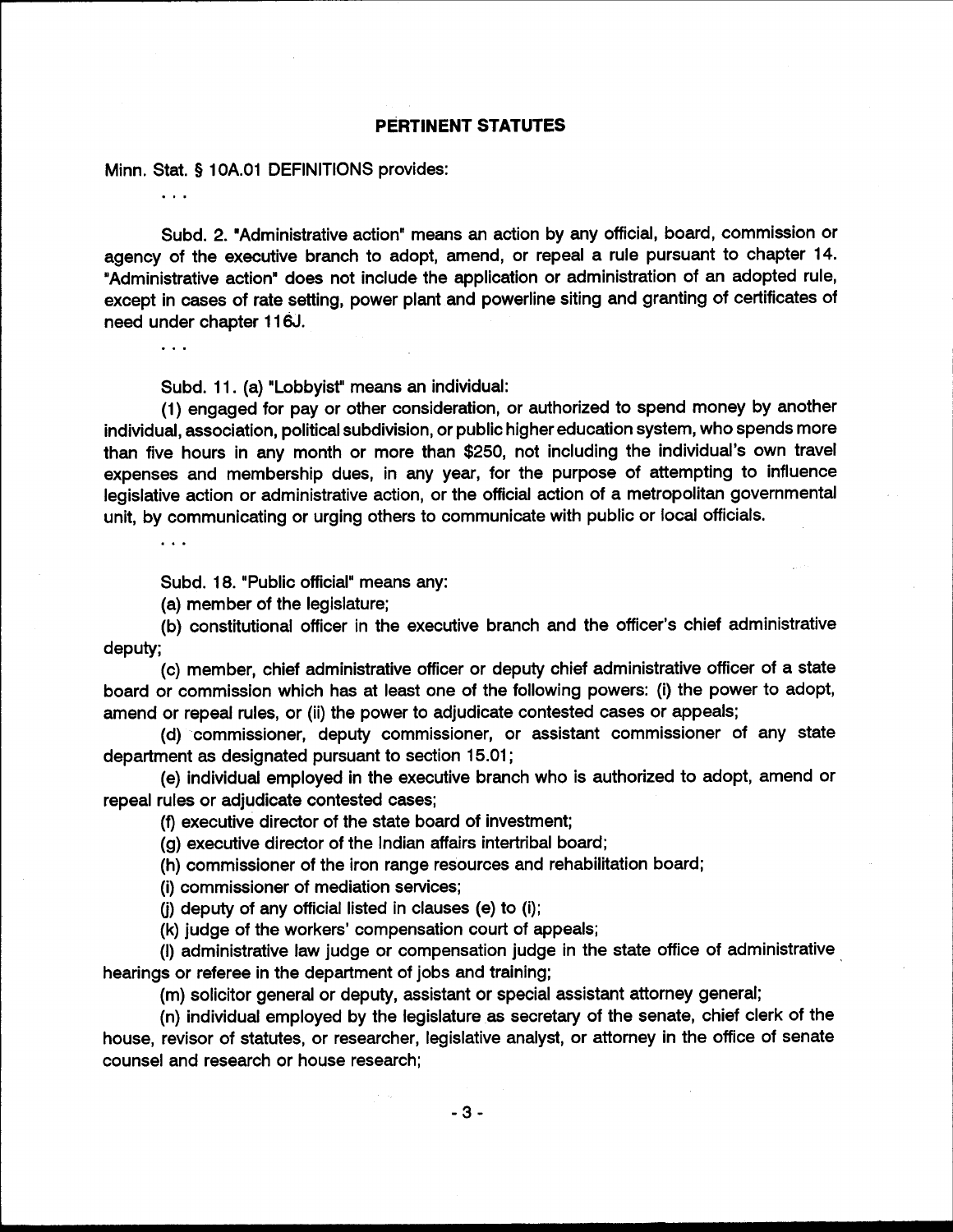# **PERTINENT STATUTES**

Minn. Stat. § 10A.01 DEFINITIONS provides:

 $\cdots$ 

Subd. 2. "Administrative action" means an action by any official, board, commission or agency of the executive branch to adopt, amend, or repeal a rule pursuant to chapter 14. "Administrative action" does not include the application or administration of an adopted rule, except in cases of rate setting, power plant and powerline siting and granting of certificates of need under chapter 116J.

 $\ddotsc$ 

Subd. 11. (a) "Lobbyist" means an individual:

(1) engaged for pay or other consideration, or authorized to spend money by another individual, association, political subdivision, or public higher education system, who spends more than five hours in any month or more than \$250, not including the individual's own travel expenses and membership dues, in any year, for the purpose of attempting to influence legislative action or administrative action, or the official action of a metropolitan governmental unit, by communicating or urging others to communicate with public or local officials.

Subd. 18. "Public official" means any:

(a) member of the legislature;

(b) constitutional officer in the executive branch and the officer's chief administrative deputy;

(c) member, chief administrative officer or deputy chief administrative officer of a state board or commission which has at least one of the following powers: (i) the power to adopt, amend or repeal rules, or (ii) the power to adjudicate contested cases or appeals;

(d) commissioner, deputy commissioner, or assistant commissioner of any state department as designated pursuant to section 15.01;

(e) individual employed in the executive branch who is authorized to adopt, amend or repeal rules or adjudicate contested cases;

(f) executive director of the state board of investment;

(g) executive director of the Indian affairs intertribal board;

(h) commissioner of the iron range resources and rehabilitation board;

(i) commissioner of mediation services;

(i) deputy of any official listed in clauses (e) to (i);

(k) judge of the workers' compensation court of appeals;

(I) administrative law judge or compensation judge in the state office of administrative hearings or referee in the department of jobs and training;

(m) solicitor general or deputy, assistant or special assistant attorney general;

(n) individual employed by the legislature as secretary of the senate, chief clerk of the house, revisor of statutes, or researcher, legislative analyst, or attorney in the office of senate counsel and research or house research;

 $-3-$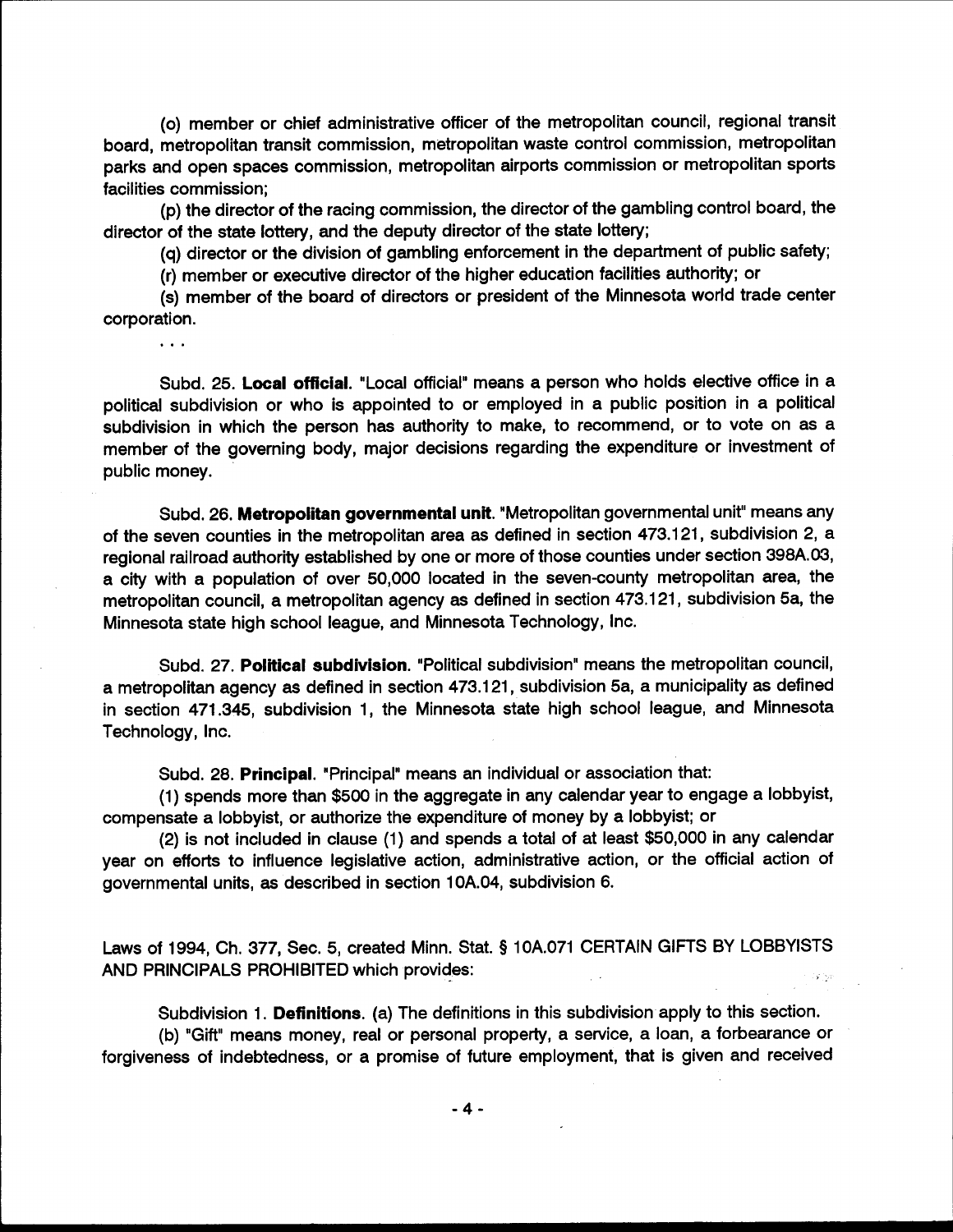(o) member or chief administrative officer of the metropolitan council, regional transit board, metropolitan transit commission, metropolitan waste control commission, metropolitan parks and open spaces commission, metropolitan airports commission or metropolitan sports facilities commission;

(p) the director of the racing commission, the director of the gambling control board, the director of the state lottery, and the deputy director of the state lottery;

(q) director or the division of gambling enforcement in the department of public safety;

(r) member or executive director of the higher education facilities authority; or

 $\ddotsc$ 

(s) member of the board of directors or president of the Minnesota world trade center corporation.

Subd. 25. Local official. "Local official" means a person who holds elective office in a political subdivision or who is appointed to or employed in a public position in a political subdivision in which the person has authority to make, to recommend, or to vote on as a member of the governing body, major decisions regarding the expenditure or investment of public money.

Subd. 26. Metropolitan governmental unit. "Metropolitan governmental unit" means any of the seven counties in the metropolitan area as defined in section 473.121, subdivision 2, a regional railroad authority established by one or more of those counties under section 398A.03, a city with a population of over 50,000 located in the seven-county metropolitan area, the metropolitan council, a metropolitan agency as defined in section 473.121, subdivision 5a, the Minnesota state high school league, and Minnesota Technology, Inc.

Subd. 27. Political subdivision. "Political subdivision" means the metropolitan council, a metropolitan agency as defined in section 473.121, subdivision 5a, a municipality as defined in section 471.345, subdivision 1, the Minnesota state high school league, and Minnesota Technology, Inc.

Subd. 28. Principal. "Principal" means an individual or association that:

(1) spends more than \$500 in the aggregate in any calendar year to engage a lobbyist, compensate a lobbyist, or authorize the expenditure of money by a lobbyist; or

(2) is not included in clause (1) and spends a total of at least \$50,000 in any calendar year on efforts to influence legislative action, administrative action, or the official action of governmental units, as described in section 10A.04, subdivision 6.

Laws of 1994, Ch. 377, Sec. 5, created Minn. Stat. § 10A.071 CERTAIN GIFTS BY LOBBYISTS AND PRINCIPALS PROHIBITED which provides:

Subdivision 1. Definitions. (a) The definitions in this subdivision apply to this section. (b) "Gift" means money, real or personal property, a service, a loan, a forbearance or forgiveness of indebtedness, or a promise of future employment, that is given and received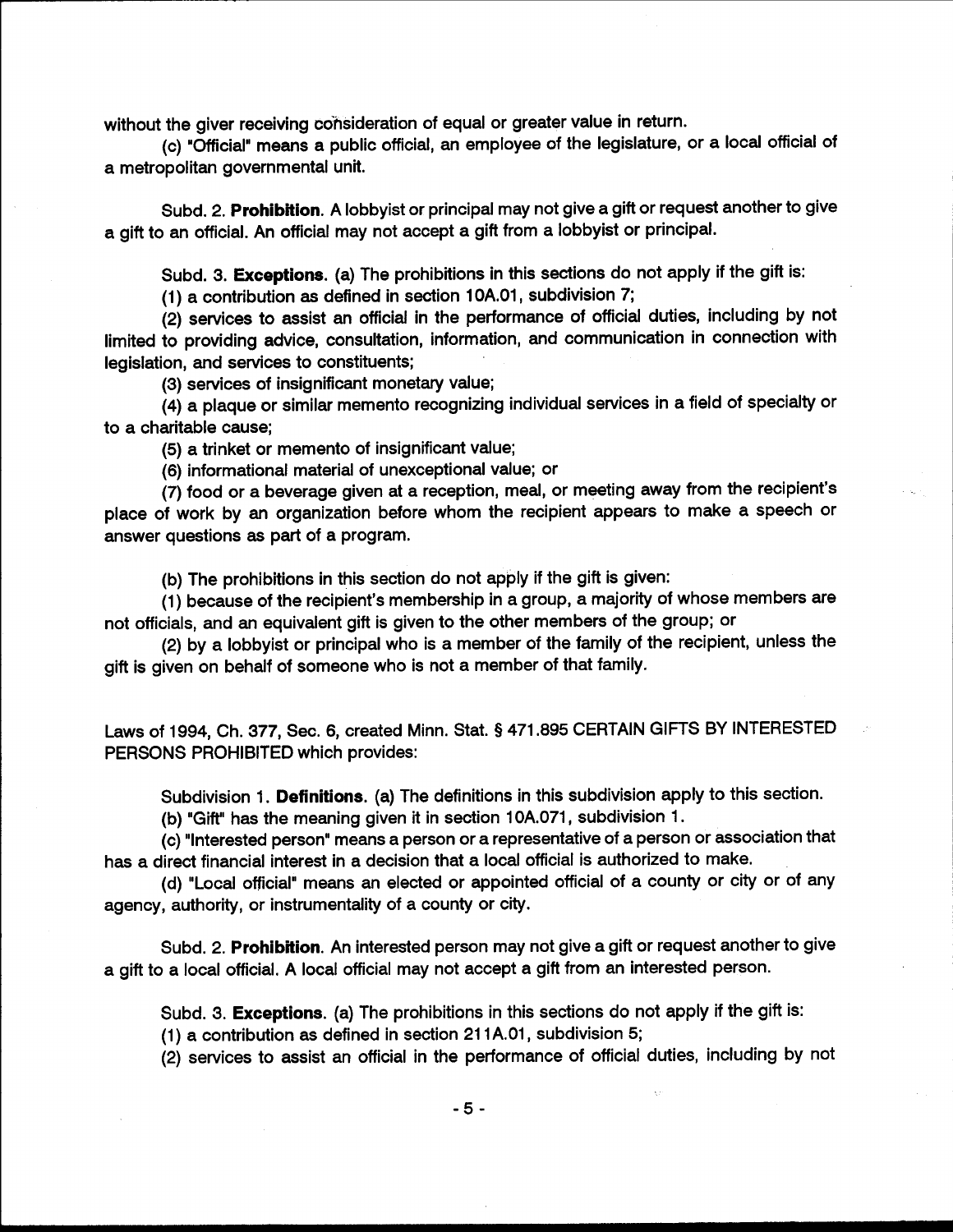without the giver receiving consideration of equal or greater value in return.

(c) "Official" means a public official, an employee of the legislature, or a local official of a metropolitan governmental unit.

Subd. 2. Prohibition. A lobbyist or principal may not give a gift or request another to give a gift to an official. An official may not accept a gift from a lobbyist or principal.

Subd. 3. Exceptions. (a) The prohibitions in this sections do not apply if the gift is:

(1) a contribution as defined in section 10A.01, subdivision 7;

(2) services to assist an official in the performance of official duties, including by not limited to providing advice, consultation, information, and communication in connection with legislation, and services to constituents;

(3) services of insignificant monetary value;

(4) a plaque or similar memento recognizing individual services in a field of specialty or to a charitable cause:

(5) a trinket or memento of insignificant value;

(6) informational material of unexceptional value; or

(7) food or a beverage given at a reception, meal, or meeting away from the recipient's place of work by an organization before whom the recipient appears to make a speech or answer questions as part of a program.

(b) The prohibitions in this section do not apply if the gift is given:

(1) because of the recipient's membership in a group, a majority of whose members are not officials, and an equivalent gift is given to the other members of the group; or

(2) by a lobbyist or principal who is a member of the family of the recipient, unless the gift is given on behalf of someone who is not a member of that family.

Laws of 1994, Ch. 377, Sec. 6, created Minn. Stat. § 471.895 CERTAIN GIFTS BY INTERESTED PERSONS PROHIBITED which provides:

Subdivision 1. Definitions. (a) The definitions in this subdivision apply to this section.

(b) "Gift" has the meaning given it in section 10A.071, subdivision 1.

(c) "Interested person" means a person or a representative of a person or association that has a direct financial interest in a decision that a local official is authorized to make.

(d) "Local official" means an elected or appointed official of a county or city or of any agency, authority, or instrumentality of a county or city.

Subd. 2. Prohibition. An interested person may not give a gift or request another to give a gift to a local official. A local official may not accept a gift from an interested person.

Subd. 3. Exceptions. (a) The prohibitions in this sections do not apply if the gift is:

(1) a contribution as defined in section 211A.01, subdivision 5;

(2) services to assist an official in the performance of official duties, including by not